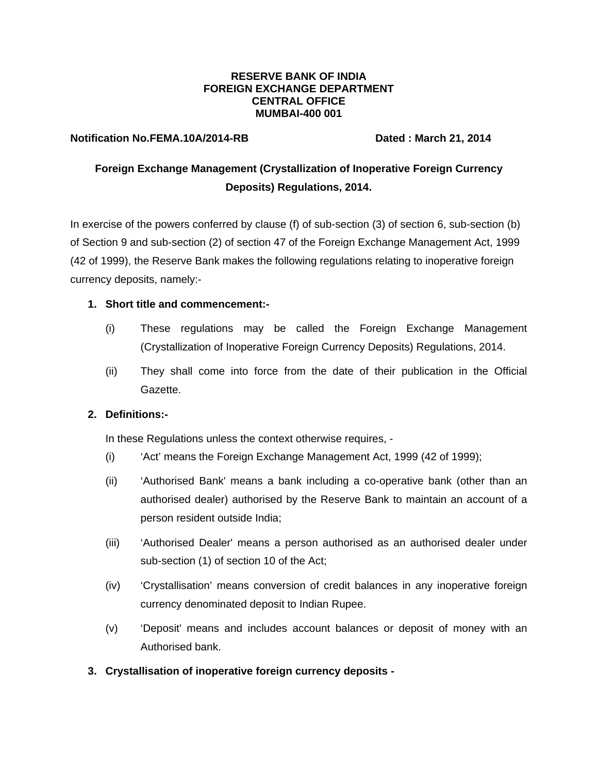## **RESERVE BANK OF INDIA FOREIGN EXCHANGE DEPARTMENT CENTRAL OFFICE MUMBAI-400 001**

### **Notification No.FEMA.10A/2014-RB Dated : March 21, 2014**

# **Foreign Exchange Management (Crystallization of Inoperative Foreign Currency Deposits) Regulations, 2014.**

In exercise of the powers conferred by clause (f) of sub-section (3) of section 6, sub-section (b) of Section 9 and sub-section (2) of section 47 of the Foreign Exchange Management Act, 1999 (42 of 1999), the Reserve Bank makes the following regulations relating to inoperative foreign currency deposits, namely:-

# **1. Short title and commencement:-**

- (i) These regulations may be called the Foreign Exchange Management (Crystallization of Inoperative Foreign Currency Deposits) Regulations, 2014.
- (ii) They shall come into force from the date of their publication in the Official Gazette.

## **2. Definitions:-**

In these Regulations unless the context otherwise requires, -

- (i) 'Act' means the Foreign Exchange Management Act, 1999 (42 of 1999);
- (ii) 'Authorised Bank' means a bank including a co-operative bank (other than an authorised dealer) authorised by the Reserve Bank to maintain an account of a person resident outside India;
- (iii) 'Authorised Dealer' means a person authorised as an authorised dealer under sub-section (1) of section 10 of the Act;
- (iv) 'Crystallisation' means conversion of credit balances in any inoperative foreign currency denominated deposit to Indian Rupee.
- (v) 'Deposit' means and includes account balances or deposit of money with an Authorised bank.
- **3. Crystallisation of inoperative foreign currency deposits**